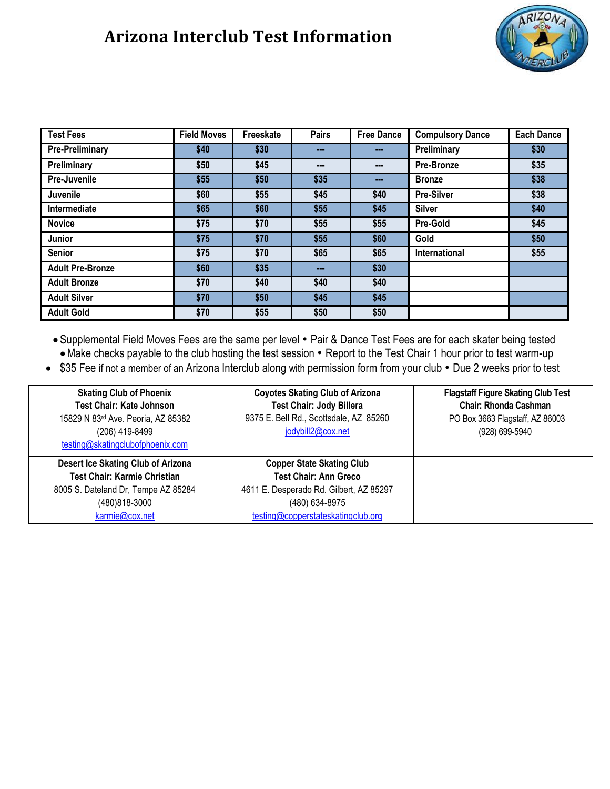## **Arizona Interclub Test Information**



| <b>Test Fees</b>        | <b>Field Moves</b> | Freeskate | <b>Pairs</b> | <b>Free Dance</b> | <b>Compulsory Dance</b> | <b>Each Dance</b> |
|-------------------------|--------------------|-----------|--------------|-------------------|-------------------------|-------------------|
| <b>Pre-Preliminary</b>  | \$40               | \$30      | ---          | ---               | Preliminary             | \$30              |
| Preliminary             | \$50               | \$45      | ---          | ---               | Pre-Bronze              | \$35              |
| Pre-Juvenile            | \$55               | \$50      | \$35         | ---               | <b>Bronze</b>           | \$38              |
| Juvenile                | \$60               | \$55      | \$45         | \$40              | <b>Pre-Silver</b>       | \$38              |
| Intermediate            | \$65               | \$60      | \$55         | \$45              | <b>Silver</b>           | \$40              |
| <b>Novice</b>           | \$75               | \$70      | \$55         | \$55              | <b>Pre-Gold</b>         | \$45              |
| Junior                  | \$75               | \$70      | \$55         | \$60              | Gold                    | \$50              |
| <b>Senior</b>           | \$75               | \$70      | \$65         | \$65              | International           | \$55              |
| <b>Adult Pre-Bronze</b> | \$60               | \$35      | ---          | \$30              |                         |                   |
| <b>Adult Bronze</b>     | \$70               | \$40      | \$40         | \$40              |                         |                   |
| <b>Adult Silver</b>     | \$70               | \$50      | \$45         | \$45              |                         |                   |
| <b>Adult Gold</b>       | \$70               | \$55      | \$50         | \$50              |                         |                   |

• Supplemental Field Moves Fees are the same per level • Pair & Dance Test Fees are for each skater being tested •Make checks payable to the club hosting the test session • Report to the Test Chair 1 hour prior to test warm-up

• \$35 Fee if not a member of an Arizona Interclub along with permission form from your club • Due 2 weeks prior to test

| <b>Skating Club of Phoenix</b><br><b>Test Chair: Kate Johnson</b><br>15829 N 83rd Ave. Peoria, AZ 85382<br>(206) 419-8499<br>testing@skatingclubofphoenix.com | <b>Coyotes Skating Club of Arizona</b><br><b>Test Chair: Jody Billera</b><br>9375 E. Bell Rd., Scottsdale, AZ 85260<br>jodybill2@cox.net                            | <b>Flagstaff Figure Skating Club Test</b><br><b>Chair: Rhonda Cashman</b><br>PO Box 3663 Flagstaff, AZ 86003<br>(928) 699-5940 |
|---------------------------------------------------------------------------------------------------------------------------------------------------------------|---------------------------------------------------------------------------------------------------------------------------------------------------------------------|--------------------------------------------------------------------------------------------------------------------------------|
| Desert Ice Skating Club of Arizona<br><b>Test Chair: Karmie Christian</b><br>8005 S. Dateland Dr, Tempe AZ 85284<br>(480) 818-3000<br>karmie@cox.net          | <b>Copper State Skating Club</b><br><b>Test Chair: Ann Greco</b><br>4611 E. Desperado Rd. Gilbert, AZ 85297<br>(480) 634-8975<br>testing@copperstateskatingclub.org |                                                                                                                                |